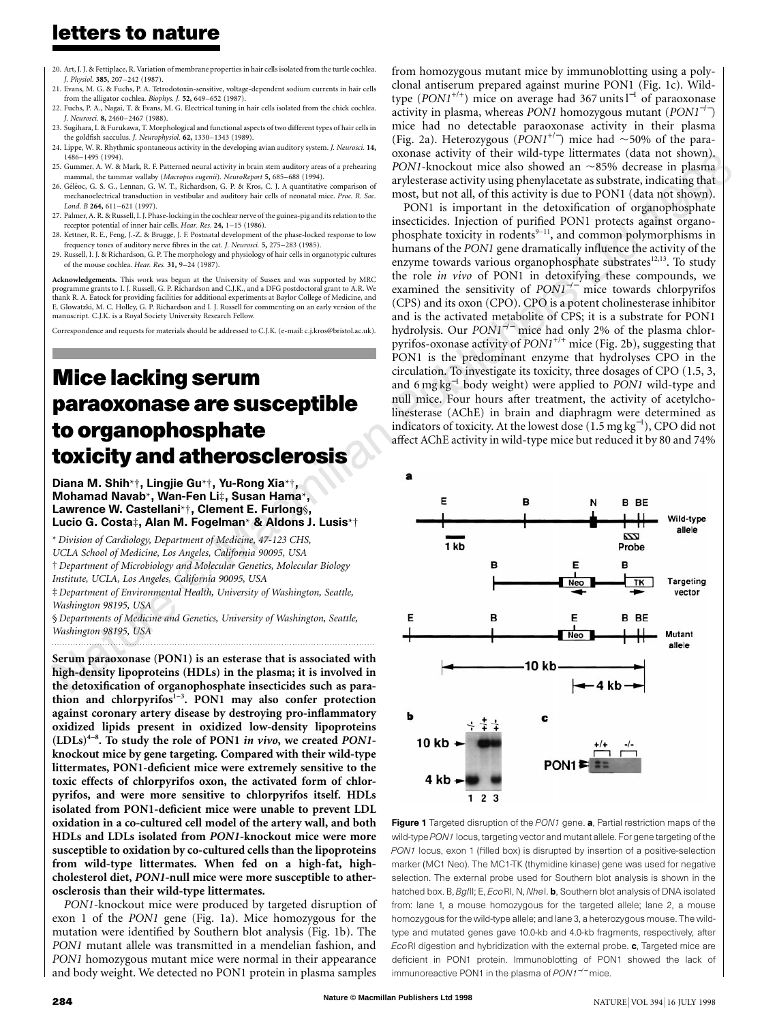- 20. Art, J. J. & Fettiplace, R. Variation of membrane properties in hair cells isolated from the turtle cochlea. *J. Physiol.* **385,** 207–242 (1987).
- 21. Evans, M. G. & Fuchs, P. A. Tetrodotoxin-sensitive, voltage-dependent sodium currents in hair cells from the alligator cochlea. *Biophys. J.* **52,** 649–652 (1987).
- 22. Fuchs, P. A., Nagai, T. & Evans, M. G. Electrical tuning in hair cells isolated from the chick cochlea. *J. Neurosci.* **8,** 2460–2467 (1988).
- 23. Sugihara, I. & Furukawa, T. Morphological and functional aspects of two different types of hair cells in the goldfish sacculus. *J. Neurophysiol.* **62,** 1330–1343 (1989).
- 24. Lippe, W. R. Rhythmic spontaneous activity in the developing avian auditory system. *J. Neurosci.* **14,** 1486–1495 (1994).
- 25. Gummer, A. W. & Mark, R. F. Patterned neural activity in brain stem auditory areas of a prehearing mammal, the tammar wallaby (*Macropus eugenii*). *NeuroReport* **5,** 685–688 (1994).
- 26. Géléoc, G. S. G., Lennan, G. W. T., Richardson, G. P. & Kros, C. J. A quantitative comparison of mechanoelectrical transduction in vestibular and auditory hair cells of neonatal mice. *Proc. R. Soc. Lond. B* **264,** 611–621 (1997).
- 27. Palmer, A. R. & Russell, I. J. Phase-locking in the cochlear nerve of the guinea-pig and its relation to the receptor potential of inner hair cells. *Hear. Res.* **24,** 1–15 (1986).
- 28. Kettner, R. E., Feng, J.-Z. & Brugge, J. F. Postnatal development of the phase-locked response to low frequency tones of auditory nerve fibres in the cat. *J. Neurosci.* **5,** 275–283 (1985).
- 29. Russell, I. J. & Richardson, G. P. The morphology and physiology of hair cells in organotypic cultures of the mouse cochlea. *Hear. Res.* **31,** 9–24 (1987).

**Acknowledgements.** This work was begun at the University of Sussex and was supported by MRC programme grants to I. J. Russell, G. P. Richardson and C.J.K., and a DFG postdoctoral grant to A.R. We thank R. A. Eatock for providing facilities for additional experiments at Baylor College of Medicine, and E. Glowatzki, M. C. Holley, G. P. Richardson and I. J. Russell for commenting on an early version of the manuscript. C.J.K. is a Royal Society University Research Fellow.

Correspondence and requests for materials should be addressed to C.J.K. (e-mail: c.j.kros@bristol.ac.uk).

# **Mice lacking serum paraoxonase are susceptible to organophosphate toxicity and atherosclerosis**

Diana M. Shih\*†, Lingjie Gu\*†, Yu-Rong Xia\*†, Mohamad Navab\*, Wan-Fen Li‡, Susan Hama\*, Lawrence W. Castellani\*†, Clement E. Furlong§, Lucio G. Costa‡, Alan M. Fogelman\* & Aldons J. Lusis\*†

\* *Division of Cardiology, Department of Medicine, 47-123 CHS,*

*UCLA School of Medicine, Los Angeles, California 90095, USA*

† *Department of Microbiology and Molecular Genetics, Molecular Biology Institute, UCLA, Los Angeles, California 90095, USA*

‡ *Department of Environmental Health, University of Washington, Seattle, Washington 98195, USA*

§ *Departments of Medicine and Genetics, University of Washington, Seattle, Washington 98195, USA*

*.........................................................................................................................*

**Serum paraoxonase (PON1) is an esterase that is associated with high-density lipoproteins (HDLs) in the plasma; it is involved in the detoxification of organophosphate insecticides such as para**thion and chlorpyrifos<sup>1-3</sup>. PON1 may also confer protection **against coronary artery disease by destroying pro-inflammatory oxidized lipids present in oxidized low-density lipoproteins (LDLs)4–8. To study the role of PON1** *in vivo***, we created** *PON1* **knockout mice by gene targeting. Compared with their wild-type littermates, PON1-deficient mice were extremely sensitive to the toxic effects of chlorpyrifos oxon, the activated form of chlorpyrifos, and were more sensitive to chlorpyrifos itself. HDLs isolated from PON1-deficient mice were unable to prevent LDL oxidation in a co-cultured cell model of the artery wall, and both HDLs and LDLs isolated from** *PON1***-knockout mice were more susceptible to oxidation by co-cultured cells than the lipoproteins from wild-type littermates. When fed on a high-fat, highcholesterol diet,** *PON1***-null mice were more susceptible to atherosclerosis than their wild-type littermates.**

*PON1*-knockout mice were produced by targeted disruption of exon 1 of the *PON1* gene (Fig. 1a). Mice homozygous for the mutation were identified by Southern blot analysis (Fig. 1b). The *PON1* mutant allele was transmitted in a mendelian fashion, and *PON1* homozygous mutant mice were normal in their appearance and body weight. We detected no PON1 protein in plasma samples

oxonase activity of their wild-type littermates (data not shown).<br>PONI-knockout mice also showed an  $\sim$ 85% decrease in plasma<br>arylesterase activity using phenylacetate as substrate, indicating that from homozygous mutant mice by immunoblotting using a polyclonal antiserum prepared against murine PON1 (Fig. 1c). Wildtype (*PON1*+/+) mice on average had 367 units l<sup>−</sup><sup>1</sup> of paraoxonase activity in plasma, whereas *PON1* homozygous mutant (*PON1*<sup>−</sup>/<sup>−</sup> ) mice had no detectable paraoxonase activity in their plasma (Fig. 2a). Heterozygous ( $PON1^{+/-}$ ) mice had  $\sim$  50% of the paraoxonase activity of their wild-type littermates (data not shown). *PON1*-knockout mice also showed an  $\sim$ 85% decrease in plasma most, but not all, of this activity is due to PON1 (data not shown).

PON1 is important in the detoxification of organophosphate insecticides. Injection of purified PON1 protects against organophosphate toxicity in rodents $9-11$ , and common polymorphisms in humans of the *PON1* gene dramatically influence the activity of the enzyme towards various organophosphate substrates<sup>12,13</sup>. To study the role *in vivo* of PON1 in detoxifying these compounds, we examined the sensitivity of *PON1*<sup>−</sup>/<sup>−</sup> mice towards chlorpyrifos (CPS) and its oxon (CPO). CPO is a potent cholinesterase inhibitor and is the activated metabolite of CPS; it is a substrate for PON1 hydrolysis. Our *PON1<sup>-/−</sup>* mice had only 2% of the plasma chlorpyrifos-oxonase activity of *PON1<sup>+/+</sup>* mice (Fig. 2b), suggesting that PON1 is the predominant enzyme that hydrolyses CPO in the circulation. To investigate its toxicity, three dosages of CPO (1.5, 3, and 6 mg kg<sup>−</sup><sup>1</sup> body weight) were applied to *PON1* wild-type and null mice. Four hours after treatment, the activity of acetylcholinesterase (AChE) in brain and diaphragm were determined as indicators of toxicity. At the lowest dose  $(1.5 \text{ mg kg}^{-1})$ , CPO did not affect AChE activity in wild-type mice but reduced it by 80 and 74%



Figure 1 Targeted disruption of the PON1 gene. a, Partial restriction maps of the wild-type *PON1* locus, targeting vector and mutant allele. For gene targeting of the *PON1* locus, exon 1 (filled box) is disrupted by insertion of a positive-selection marker (MC1 Neo). The MC1-TK (thymidine kinase) gene was used for negative selection. The external probe used for Southern blot analysis is shown in the hatched box. B, *Bgl*II; E, *Eco*RI, N, *Nhe*I. b, Southern blot analysis of DNA isolated from: lane 1, a mouse homozygous for the targeted allele; lane 2, a mouse homozygous for the wild-type allele; and lane 3, a heterozygous mouse. The wildtype and mutated genes gave 10.0-kb and 4.0-kb fragments, respectively, after *Eco*RI digestion and hybridization with the external probe. c, Targeted mice are deficient in PON1 protein. Immunoblotting of PON1 showed the lack of immunoreactive PON1 in the plasma of *PON1*<sup>−</sup>/<sup>−</sup> mice.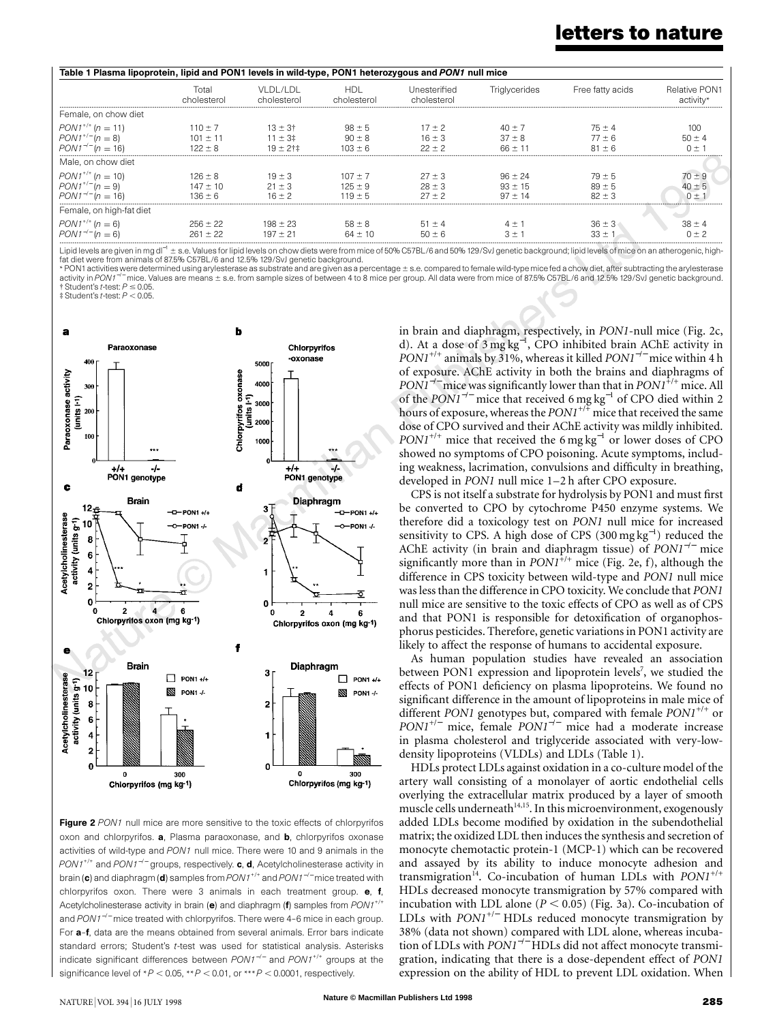| Table 1 Plasma lipoprotein, lipid and PON1 levels in wild-type, PON1 heterozygous and PON1 null mice |                                            |                                               |                                         |                                      |                                         |                                        |                            |
|------------------------------------------------------------------------------------------------------|--------------------------------------------|-----------------------------------------------|-----------------------------------------|--------------------------------------|-----------------------------------------|----------------------------------------|----------------------------|
|                                                                                                      | Total<br>cholesterol                       | VI DI /I DI<br>cholesterol                    | HDI.<br>cholesterol                     | Unesterified<br>cholesterol          | Triglycerides                           | Free fatty acids                       | Relative PON1<br>activity* |
| Female, on chow diet                                                                                 |                                            |                                               |                                         |                                      |                                         |                                        |                            |
| $PON1^{+/+}$ (n = 11)<br>$PONI^{+/}$ (n = 8)<br>$PON1^{-/-} (n = 16)$                                | $110 \pm 7$<br>$101 \pm 11$<br>$122 \pm 8$ | $13 \pm 3^{+}$<br>$11 \pm 3$ ‡<br>$19 + 21 +$ | $98 \pm 5$<br>$90 \pm 8$<br>$103 \pm 6$ | $17 + 2$<br>$16 \pm 3$<br>$22 \pm 2$ | $40 \pm 7$<br>$37 \pm 8$<br>$66 + 11$   | $75 \pm 4$<br>$77 \pm 6$<br>$81 \pm 6$ | 100<br>$50 \pm 4$          |
| Male, on chow diet                                                                                   |                                            |                                               |                                         |                                      |                                         |                                        |                            |
| $PON1^{+/+}$ (n = 10)<br>$PON1^{+/}$ (n = 9)<br>$PON1^{-/-} (n = 16)$                                | $126 \pm 8$<br>$147 \pm 10$<br>$136 \pm 6$ | $19 \pm 3$<br>$21 \pm 3$<br>$16 + 2$          | $107 \pm 7$<br>$125 \pm 9$<br>$119 + 5$ | $27 \pm 3$<br>$28 \pm 3$<br>$27 + 2$ | $96 \pm 24$<br>$93 \pm 15$<br>$97 + 14$ | $79 \pm 5$<br>$89 \pm 5$<br>$82 + 3$   | 70 ± 9<br>$40 +$<br>∩ +    |
| Female, on high-fat diet                                                                             |                                            |                                               |                                         |                                      |                                         |                                        |                            |
| $PON1^{+/+}$ (n = 6)<br>$PONI^{-/-}$ (n = 6)                                                         | $256 \pm 22$<br>$261 + 22$                 | $198 \pm 23$<br>$197 + 21$                    | $58 \pm 8$<br>$64 + 10$                 | $51 \pm 4$<br>$50 + 6$               | $4 +$                                   | $36 \pm 3$<br>$33 +$                   | $38 \pm 4$                 |

Lipid levels are given in mg dl<sup>-1</sup> ± s.e. Values for lipid levels on chow diets were from mice of 50% C57BL/6 and 50% 129/SvJ genetic background; lipid levels of mice on an atherogenic, high-<br>fat diet were from animals of

\* PON1 activities were determined using arylesterase as substrate and are given as a percentage ± s.e. compared to female wild-type mice fed a chow diet, after subtracting the arylesterase<br>activity in *PON1<sup>–/–</sup>* mice. Val  $\frac{1}{1}$ Student's *t*-test:  $P \le 0.05$ 

 $\ddagger$  Student's *t*-test:  $P < 0.05$ 



Figure 2 PON1 null mice are more sensitive to the toxic effects of chlorpyrifos oxon and chlorpyrifos. a, Plasma paraoxonase, and b, chlorpyrifos oxonase activities of wild-type and *PON1* null mice. There were 10 and 9 animals in the *PON1<sup>+/+</sup>* and *PON1<sup>-/-</sup>* groups, respectively. **c**, **d**, Acetylcholinesterase activity in brain (c) and diaphragm (d) samples from *PON1*+/+ and *PON1*<sup>−</sup>/<sup>−</sup> mice treated with chlorpyrifos oxon. There were 3 animals in each treatment group. e, f, Acetylcholinesterase activity in brain (e) and diaphragm (f) samples from  $PON1^{+/+}$ and *PON1*<sup>−</sup>/<sup>−</sup> mice treated with chlorpyrifos. There were 4–6 mice in each group. For a–f, data are the means obtained from several animals. Error bars indicate standard errors; Student's *t*-test was used for statistical analysis. Asterisks indicate significant differences between *PON1*<sup>−</sup>/<sup>−</sup> and *PON1*+/+ groups at the significance level of  $*P < 0.05$ ,  $*P < 0.01$ , or  $**P < 0.0001$ , respectively.

in brain and diaphragm, respectively, in *PON1*-null mice (Fig. 2c, d). At a dose of 3 mg kg<sup>−</sup><sup>1</sup> , CPO inhibited brain AChE activity in *PON1<sup>+/+</sup>* animals by 31%, whereas it killed *PON1<sup>-/−</sup>* mice within 4 h of exposure. AChE activity in both the brains and diaphragms of *PON1<sup>−/−</sup>* mice was significantly lower than that in *PON1<sup>+/+</sup>* mice. All of the *PON1<sup>-/-</sup>* mice that received 6 mg kg<sup>-1</sup> of CPO died within 2 hours of exposure, whereas the  $PONI^{+/+}$  mice that received the same dose of CPO survived and their AChE activity was mildly inhibited. *PON1<sup>+/+</sup>* mice that received the 6 mg kg<sup>-1</sup> or lower doses of CPO showed no symptoms of CPO poisoning. Acute symptoms, including weakness, lacrimation, convulsions and difficulty in breathing, developed in *PON1* null mice 1–2 h after CPO exposure.

CPS is not itself a substrate for hydrolysis by PON1 and must first be converted to CPO by cytochrome P450 enzyme systems. We therefore did a toxicology test on *PON1* null mice for increased sensitivity to CPS. A high dose of CPS (300 mg kg<sup>-1</sup>) reduced the AChE activity (in brain and diaphragm tissue) of *PON1*<sup>−</sup>/<sup>−</sup> mice significantly more than in  $PONI^{7+}$  mice (Fig. 2e, f), although the difference in CPS toxicity between wild-type and *PON1* null mice waslessthan the difference in CPO toxicity. We conclude that *PON1* null mice are sensitive to the toxic effects of CPO as well as of CPS and that PON1 is responsible for detoxification of organophosphorus pesticides. Therefore, genetic variations in PON1 activity are likely to affect the response of humans to accidental exposure.

As human population studies have revealed an association between PON1 expression and lipoprotein levels<sup>7</sup>, we studied the effects of PON1 deficiency on plasma lipoproteins. We found no significant difference in the amount of lipoproteins in male mice of different *PON1* genotypes but, compared with female *PON1*+/+ or *PON1<sup>+/−</sup>* mice, female *PON1<sup>-/−</sup>* mice had a moderate increase in plasma cholesterol and triglyceride associated with very-lowdensity lipoproteins (VLDLs) and LDLs (Table 1).

HDLs protect LDLs against oxidation in a co-culture model of the artery wall consisting of a monolayer of aortic endothelial cells overlying the extracellular matrix produced by a layer of smooth muscle cells underneath<sup>14,15</sup>. In this microenvironment, exogenously added LDLs become modified by oxidation in the subendothelial matrix; the oxidized LDL then induces the synthesis and secretion of monocyte chemotactic protein-1 (MCP-1) which can be recovered and assayed by its ability to induce monocyte adhesion and transmigration<sup>14</sup>. Co-incubation of human LDLs with *PON1<sup>+/+</sup>* HDLs decreased monocyte transmigration by 57% compared with incubation with LDL alone  $(P < 0.05)$  (Fig. 3a). Co-incubation of LDLs with *PON1*+/<sup>−</sup> HDLs reduced monocyte transmigration by 38% (data not shown) compared with LDL alone, whereas incubation of LDLs with *PON1*<sup>−</sup>/<sup>−</sup> HDLs did not affect monocyte transmigration, indicating that there is a dose-dependent effect of *PON1* expression on the ability of HDL to prevent LDL oxidation. When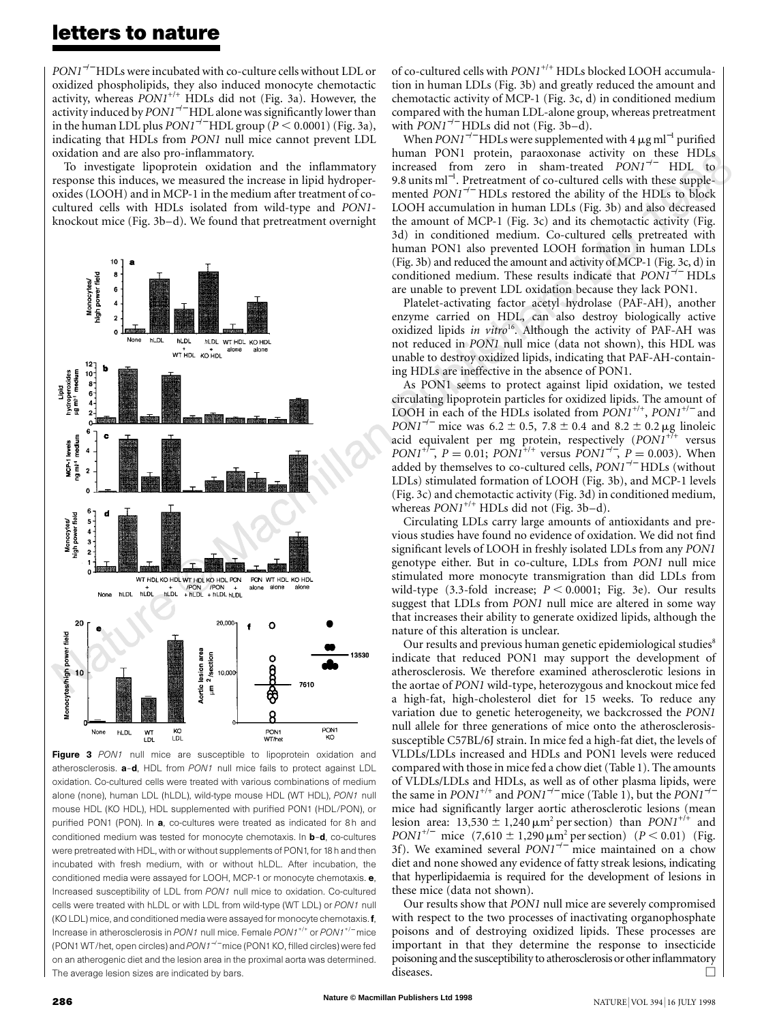*PON1<sup>−/−</sup>* HDLs were incubated with co-culture cells without LDL or oxidized phospholipids, they also induced monocyte chemotactic activity, whereas *PON1*+/+ HDLs did not (Fig. 3a). However, the activity induced by *PON1<sup>-/−</sup>* HDL alone was significantly lower than in the human LDL plus  $PON1^{-/-}$  HDL group ( $P \le 0.0001$ ) (Fig. 3a), indicating that HDLs from *PON1* null mice cannot prevent LDL oxidation and are also pro-inflammatory.

To investigate lipoprotein oxidation and the inflammatory response this induces, we measured the increase in lipid hydroperoxides (LOOH) and in MCP-1 in the medium after treatment of cocultured cells with HDLs isolated from wild-type and *PON1* knockout mice (Fig. 3b–d). We found that pretreatment overnight



Figure 3 PON1 null mice are susceptible to lipoprotein oxidation and atherosclerosis. a–d, HDL from *PON1* null mice fails to protect against LDL oxidation. Co-cultured cells were treated with various combinations of medium alone (none), human LDL (hLDL), wild-type mouse HDL (WT HDL), *PON1* null mouse HDL (KO HDL), HDL supplemented with purified PON1 (HDL/PON), or purified PON1 (PON). In a, co-cultures were treated as indicated for 8h and conditioned medium was tested for monocyte chemotaxis. In b–d, co-cultures were pretreated with HDL, with or without supplements of PON1, for 18 h and then incubated with fresh medium, with or without hLDL. After incubation, the conditioned media were assayed for LOOH, MCP-1 or monocyte chemotaxis. e, Increased susceptibility of LDL from *PON1* null mice to oxidation. Co-cultured cells were treated with hLDL or with LDL from wild-type (WT LDL) or *PON1* null (KO LDL) mice, and conditioned media were assayed for monocyte chemotaxis. f, Increase in atherosclerosis in *PON1* null mice. Female *PON1*+/+ or *PON1*+/<sup>−</sup> mice (PON1 WT/het, open circles) and *PON1*<sup>−</sup>/<sup>−</sup> mice (PON1 KO, filled circles) were fed on an atherogenic diet and the lesion area in the proximal aorta was determined. The average lesion sizes are indicated by bars.

of co-cultured cells with  $PON1^{+/+}$  HDLs blocked LOOH accumulation in human LDLs (Fig. 3b) and greatly reduced the amount and chemotactic activity of MCP-1 (Fig. 3c, d) in conditioned medium compared with the human LDL-alone group, whereas pretreatment with *PON1<sup>−/−</sup>* HDLs did not (Fig. 3b–d).

human PON1 protein, paraoxonase activity on these HDLs<br>increased from zero in sham-treated *PON1<sup>−/−</sup>* HDL to<br>9.8 units ml<sup>-1</sup>. Pretreatment of co-cultured cells with these supple-When *PON1<sup>-/−</sup>* HDLs were supplemented with 4 µg ml<sup>-1</sup> purified human PON1 protein, paraoxonase activity on these HDLs 9.8 units ml<sup>-1</sup>. Pretreatment of co-cultured cells with these supplemented *PON1<sup>−/−</sup>* HDLs restored the ability of the HDLs to block LOOH accumulation in human LDLs (Fig. 3b) and also decreased the amount of MCP-1 (Fig. 3c) and its chemotactic activity (Fig. 3d) in conditioned medium. Co-cultured cells pretreated with human PON1 also prevented LOOH formation in human LDLs (Fig. 3b) and reduced the amount and activity of MCP-1 (Fig. 3c, d) in conditioned medium. These results indicate that *PON1*<sup>−</sup>/<sup>−</sup> HDLs are unable to prevent LDL oxidation because they lack PON1.

Platelet-activating factor acetyl hydrolase (PAF-AH), another enzyme carried on HDL, can also destroy biologically active oxidized lipids *in vitro*16. Although the activity of PAF-AH was not reduced in *PON1* null mice (data not shown), this HDL was unable to destroy oxidized lipids, indicating that PAF-AH-containing HDLs are ineffective in the absence of PON1.

As PON1 seems to protect against lipid oxidation, we tested circulating lipoprotein particles for oxidized lipids. The amount of LOOH in each of the HDLs isolated from *PON1*+/+, *PON1*+/<sup>−</sup> and *PON1<sup>−/−</sup>* mice was  $6.2 \pm 0.5$ ,  $7.8 \pm 0.4$  and  $8.2 \pm 0.2$  µg linoleic acid equivalent per mg protein, respectively (PON1<sup>+7+</sup> versus  $PONI^{+/-}$ ,  $P = 0.01$ ;  $PONI^{+/+}$  versus  $PONI^{-/-}$ ,  $P = 0.003$ ). When added by themselves to co-cultured cells, *PON1*<sup>−</sup>/<sup>−</sup> HDLs (without LDLs) stimulated formation of LOOH (Fig. 3b), and MCP-1 levels (Fig. 3c) and chemotactic activity (Fig. 3d) in conditioned medium, whereas  $PON1^{+/+}$  HDLs did not (Fig. 3b-d).

Circulating LDLs carry large amounts of antioxidants and previous studies have found no evidence of oxidation. We did not find significant levels of LOOH in freshly isolated LDLs from any *PON1* genotype either. But in co-culture, LDLs from *PON1* null mice stimulated more monocyte transmigration than did LDLs from wild-type  $(3.3\text{-fold}$  increase;  $P < 0.0001$ ; Fig. 3e). Our results suggest that LDLs from *PON1* null mice are altered in some way that increases their ability to generate oxidized lipids, although the nature of this alteration is unclear.

Our results and previous human genetic epidemiological studies<sup>8</sup> indicate that reduced PON1 may support the development of atherosclerosis. We therefore examined atherosclerotic lesions in the aortae of *PON1* wild-type, heterozygous and knockout mice fed a high-fat, high-cholesterol diet for 15 weeks. To reduce any variation due to genetic heterogeneity, we backcrossed the *PON1* null allele for three generations of mice onto the atherosclerosissusceptible C57BL/6J strain. In mice fed a high-fat diet, the levels of VLDLs/LDLs increased and HDLs and PON1 levels were reduced comparedwith those in mice fed a chowdiet(Table 1). The amounts of VLDLs/LDLs and HDLs, as well as of other plasma lipids, were the same in  $PON1^{+/+}$  and  $PON1^{-/-}$  mice (Table 1), but the  $PON1^{-/-}$ mice had significantly larger aortic atherosclerotic lesions (mean lesion area:  $13{,}530 \pm 1{,}240 \,\mu\text{m}^2$  per section) than *PON1<sup>+/+</sup>* and *PON1<sup>+/−</sup>* mice  $(7,610 \pm 1,290 \,\mu m^2 \text{ per section})$   $(P < 0.01)$  (Fig. 3f). We examined several *PON1<sup>-/-*</sup> mice maintained on a chow diet and none showed any evidence of fatty streak lesions, indicating that hyperlipidaemia is required for the development of lesions in these mice (data not shown).

Our results show that *PON1* null mice are severely compromised with respect to the two processes of inactivating organophosphate poisons and of destroying oxidized lipids. These processes are important in that they determine the response to insecticide poisoning and the susceptibility to atherosclerosis or other inflammatory diseases.  $\Box$